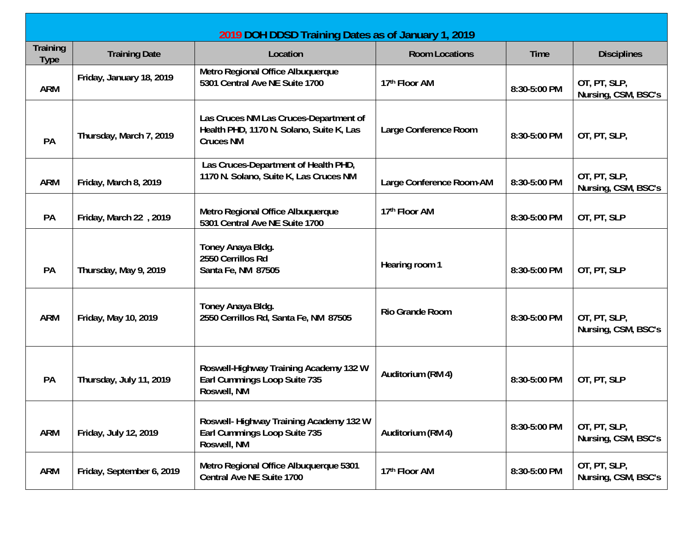| Training<br><b>Type</b> | <b>Training Date</b>      | Location                                                                                               | <b>Room Locations</b>    | <b>Time</b>  | <b>Disciplines</b>                  |
|-------------------------|---------------------------|--------------------------------------------------------------------------------------------------------|--------------------------|--------------|-------------------------------------|
| <b>ARM</b>              | Friday, January 18, 2019  | Metro Regional Office Albuquerque<br>5301 Central Ave NE Suite 1700                                    | 17th Floor AM            | 8:30-5:00 PM | OT, PT, SLP,<br>Nursing, CSM, BSC's |
| PA                      | Thursday, March 7, 2019   | Las Cruces NM Las Cruces-Department of<br>Health PHD, 1170 N. Solano, Suite K, Las<br><b>Cruces NM</b> | Large Conference Room    | 8:30-5:00 PM | OT, PT, SLP,                        |
| <b>ARM</b>              | Friday, March 8, 2019     | Las Cruces-Department of Health PHD,<br>1170 N. Solano, Suite K, Las Cruces NM                         | Large Conference Room-AM | 8:30-5:00 PM | OT, PT, SLP,<br>Nursing, CSM, BSC's |
| PA                      | Friday, March 22, 2019    | Metro Regional Office Albuquerque<br>5301 Central Ave NE Suite 1700                                    | 17th Floor AM            | 8:30-5:00 PM | OT, PT, SLP                         |
| PA                      | Thursday, May 9, 2019     | Toney Anaya Bldg.<br>2550 Cerrillos Rd<br>Santa Fe, NM 87505                                           | Hearing room 1           | 8:30-5:00 PM | OT, PT, SLP                         |
| <b>ARM</b>              | Friday, May 10, 2019      | Toney Anaya Bldg.<br>2550 Cerrillos Rd, Santa Fe, NM 87505                                             | <b>Rio Grande Room</b>   | 8:30-5:00 PM | OT, PT, SLP,<br>Nursing, CSM, BSC's |
| PA                      | Thursday, July 11, 2019   | Roswell-Highway Training Academy 132 W<br>Earl Cummings Loop Suite 735<br>Roswell, NM                  | Auditorium (RM 4)        | 8:30-5:00 PM | OT, PT, SLP                         |
| <b>ARM</b>              | Friday, July 12, 2019     | Roswell-Highway Training Academy 132 W<br>Earl Cummings Loop Suite 735<br>Roswell, NM                  | Auditorium (RM 4)        | 8:30-5:00 PM | OT, PT, SLP,<br>Nursing, CSM, BSC's |
| <b>ARM</b>              | Friday, September 6, 2019 | Metro Regional Office Albuquerque 5301<br>Central Ave NE Suite 1700                                    | 17th Floor AM            | 8:30-5:00 PM | OT, PT, SLP,<br>Nursing, CSM, BSC's |